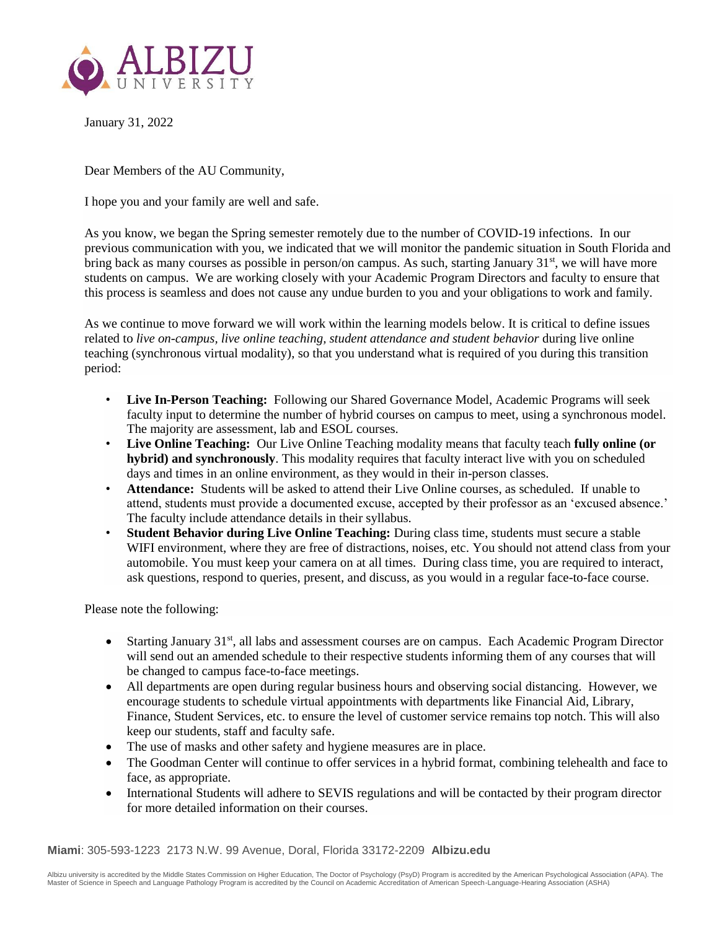

January 31, 2022

Dear Members of the AU Community,

I hope you and your family are well and safe.

As you know, we began the Spring semester remotely due to the number of COVID-19 infections. In our previous communication with you, we indicated that we will monitor the pandemic situation in South Florida and bring back as many courses as possible in person/on campus. As such, starting January  $31<sup>st</sup>$ , we will have more students on campus. We are working closely with your Academic Program Directors and faculty to ensure that this process is seamless and does not cause any undue burden to you and your obligations to work and family.

As we continue to move forward we will work within the learning models below. It is critical to define issues related to *live on-campus, live online teaching, student attendance and student behavior* during live online teaching (synchronous virtual modality), so that you understand what is required of you during this transition period:

- **Live In-Person Teaching:** Following our Shared Governance Model, Academic Programs will seek faculty input to determine the number of hybrid courses on campus to meet, using a synchronous model. The majority are assessment, lab and ESOL courses.
- **Live Online Teaching:** Our Live Online Teaching modality means that faculty teach **fully online (or hybrid) and synchronously**. This modality requires that faculty interact live with you on scheduled days and times in an online environment, as they would in their in-person classes.
- **Attendance:** Students will be asked to attend their Live Online courses, as scheduled. If unable to attend, students must provide a documented excuse, accepted by their professor as an 'excused absence.' The faculty include attendance details in their syllabus.
- **Student Behavior during Live Online Teaching:** During class time, students must secure a stable WIFI environment, where they are free of distractions, noises, etc. You should not attend class from your automobile. You must keep your camera on at all times. During class time, you are required to interact, ask questions, respond to queries, present, and discuss, as you would in a regular face-to-face course.

Please note the following:

- Starting January 31<sup>st</sup>, all labs and assessment courses are on campus. Each Academic Program Director will send out an amended schedule to their respective students informing them of any courses that will be changed to campus face-to-face meetings.
- All departments are open during regular business hours and observing social distancing. However, we encourage students to schedule virtual appointments with departments like Financial Aid, Library, Finance, Student Services, etc. to ensure the level of customer service remains top notch. This will also keep our students, staff and faculty safe.
- The use of masks and other safety and hygiene measures are in place.
- The Goodman Center will continue to offer services in a hybrid format, combining telehealth and face to face, as appropriate.
- International Students will adhere to SEVIS regulations and will be contacted by their program director for more detailed information on their courses.

**Miami**: 305-593-1223 2173 N.W. 99 Avenue, Doral, Florida 33172-2209 **Albizu.edu**